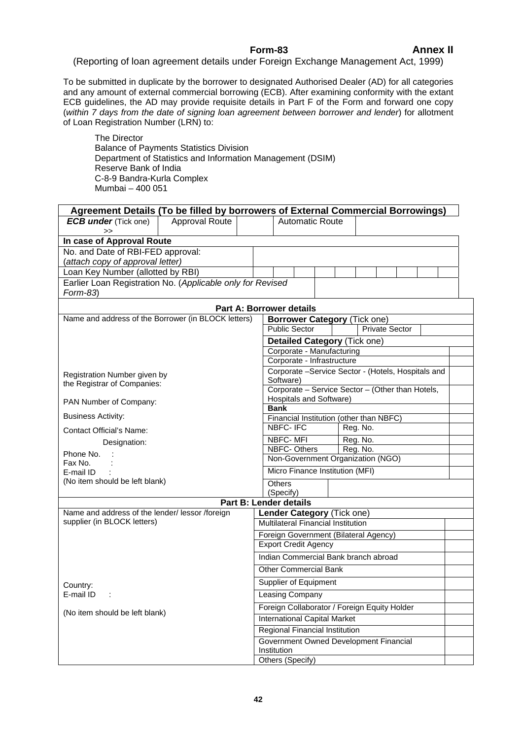## **Form-83 Annex II**

(Reporting of loan agreement details under Foreign Exchange Management Act, 1999)

To be submitted in duplicate by the borrower to designated Authorised Dealer (AD) for all categories and any amount of external commercial borrowing (ECB). After examining conformity with the extant ECB guidelines, the AD may provide requisite details in Part F of the Form and forward one copy (*within 7 days from the date of signing loan agreement between borrower and lender*) for allotment of Loan Registration Number (LRN) to:

The Director Balance of Payments Statistics Division Department of Statistics and Information Management (DSIM) Reserve Bank of India C-8-9 Bandra-Kurla Complex Mumbai – 400 051

|                                                                        | Agreement Details (To be filled by borrowers of External Commercial Borrowings) |                                                                 |  |  |          |  |                                   |  |  |  |  |
|------------------------------------------------------------------------|---------------------------------------------------------------------------------|-----------------------------------------------------------------|--|--|----------|--|-----------------------------------|--|--|--|--|
| <b>ECB under</b> (Tick one)                                            | <b>Approval Route</b>                                                           | <b>Automatic Route</b>                                          |  |  |          |  |                                   |  |  |  |  |
| $\gt$                                                                  |                                                                                 |                                                                 |  |  |          |  |                                   |  |  |  |  |
| In case of Approval Route                                              |                                                                                 |                                                                 |  |  |          |  |                                   |  |  |  |  |
| No. and Date of RBI-FED approval:                                      |                                                                                 |                                                                 |  |  |          |  |                                   |  |  |  |  |
| (attach copy of approval letter)                                       |                                                                                 |                                                                 |  |  |          |  |                                   |  |  |  |  |
| Loan Key Number (allotted by RBI)                                      |                                                                                 |                                                                 |  |  |          |  |                                   |  |  |  |  |
| Earlier Loan Registration No. (Applicable only for Revised<br>Form-83) |                                                                                 |                                                                 |  |  |          |  |                                   |  |  |  |  |
|                                                                        |                                                                                 | <b>Part A: Borrower details</b>                                 |  |  |          |  |                                   |  |  |  |  |
| Name and address of the Borrower (in BLOCK letters)                    |                                                                                 | <b>Borrower Category (Tick one)</b>                             |  |  |          |  |                                   |  |  |  |  |
|                                                                        |                                                                                 | <b>Public Sector</b>                                            |  |  |          |  | <b>Private Sector</b>             |  |  |  |  |
|                                                                        |                                                                                 | <b>Detailed Category (Tick one)</b>                             |  |  |          |  |                                   |  |  |  |  |
|                                                                        |                                                                                 | Corporate - Manufacturing                                       |  |  |          |  |                                   |  |  |  |  |
|                                                                        |                                                                                 | Corporate - Infrastructure                                      |  |  |          |  |                                   |  |  |  |  |
| Registration Number given by                                           |                                                                                 | Corporate -Service Sector - (Hotels, Hospitals and<br>Software) |  |  |          |  |                                   |  |  |  |  |
| the Registrar of Companies:                                            |                                                                                 |                                                                 |  |  |          |  |                                   |  |  |  |  |
| PAN Number of Company:                                                 | Corporate - Service Sector - (Other than Hotels,<br>Hospitals and Software)     |                                                                 |  |  |          |  |                                   |  |  |  |  |
|                                                                        |                                                                                 | <b>Bank</b>                                                     |  |  |          |  |                                   |  |  |  |  |
| <b>Business Activity:</b>                                              | Financial Institution (other than NBFC)                                         |                                                                 |  |  |          |  |                                   |  |  |  |  |
| Contact Official's Name:                                               | <b>NBFC-IFC</b>                                                                 |                                                                 |  |  | Reg. No. |  |                                   |  |  |  |  |
| Designation:                                                           | <b>NBFC-MFI</b>                                                                 |                                                                 |  |  | Reg. No. |  |                                   |  |  |  |  |
| Phone No.                                                              | NBFC-Others                                                                     |                                                                 |  |  | Reg. No. |  |                                   |  |  |  |  |
| Fax No.                                                                |                                                                                 |                                                                 |  |  |          |  | Non-Government Organization (NGO) |  |  |  |  |
| E-mail ID                                                              |                                                                                 | Micro Finance Institution (MFI)                                 |  |  |          |  |                                   |  |  |  |  |
| (No item should be left blank)                                         |                                                                                 | <b>Others</b>                                                   |  |  |          |  |                                   |  |  |  |  |
|                                                                        |                                                                                 | (Specify)                                                       |  |  |          |  |                                   |  |  |  |  |
|                                                                        |                                                                                 | Part B: Lender details                                          |  |  |          |  |                                   |  |  |  |  |
| Name and address of the lender/ lessor /foreign                        |                                                                                 | Lender Category (Tick one)                                      |  |  |          |  |                                   |  |  |  |  |
| supplier (in BLOCK letters)                                            |                                                                                 | <b>Multilateral Financial Institution</b>                       |  |  |          |  |                                   |  |  |  |  |
|                                                                        |                                                                                 | Foreign Government (Bilateral Agency)                           |  |  |          |  |                                   |  |  |  |  |
|                                                                        |                                                                                 | <b>Export Credit Agency</b>                                     |  |  |          |  |                                   |  |  |  |  |
|                                                                        |                                                                                 | Indian Commercial Bank branch abroad                            |  |  |          |  |                                   |  |  |  |  |
|                                                                        |                                                                                 | <b>Other Commercial Bank</b>                                    |  |  |          |  |                                   |  |  |  |  |
| Country:                                                               |                                                                                 | Supplier of Equipment                                           |  |  |          |  |                                   |  |  |  |  |
| E-mail ID<br>$\sim$ 1                                                  |                                                                                 | Leasing Company                                                 |  |  |          |  |                                   |  |  |  |  |
| (No item should be left blank)                                         |                                                                                 | Foreign Collaborator / Foreign Equity Holder                    |  |  |          |  |                                   |  |  |  |  |
|                                                                        |                                                                                 | <b>International Capital Market</b>                             |  |  |          |  |                                   |  |  |  |  |
|                                                                        | <b>Regional Financial Institution</b>                                           |                                                                 |  |  |          |  |                                   |  |  |  |  |
|                                                                        |                                                                                 | Government Owned Development Financial                          |  |  |          |  |                                   |  |  |  |  |
|                                                                        |                                                                                 | Institution                                                     |  |  |          |  |                                   |  |  |  |  |
|                                                                        |                                                                                 | Others (Specify)                                                |  |  |          |  |                                   |  |  |  |  |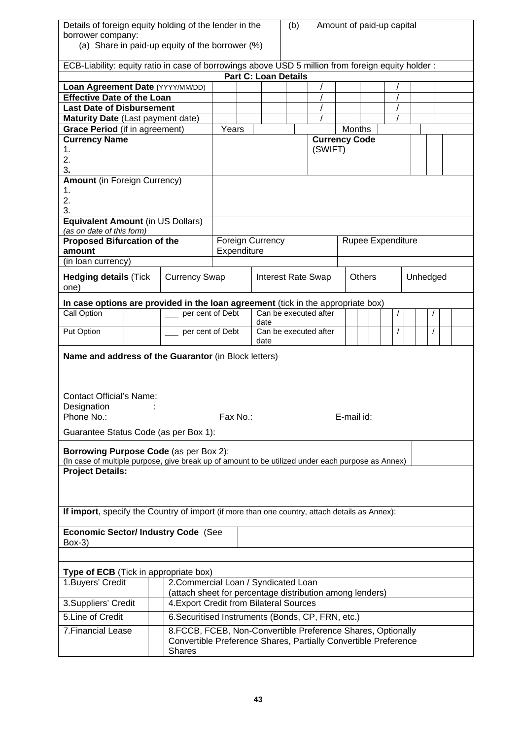| Details of foreign equity holding of the lender in the<br>borrower company:<br>(a) Share in paid-up equity of the borrower (%)                                        |                                           |                                                          |             |  |                             |                           | (b)<br>Amount of paid-up capital |                       |               |  |          |                   |  |  |  |  |
|-----------------------------------------------------------------------------------------------------------------------------------------------------------------------|-------------------------------------------|----------------------------------------------------------|-------------|--|-----------------------------|---------------------------|----------------------------------|-----------------------|---------------|--|----------|-------------------|--|--|--|--|
| ECB-Liability: equity ratio in case of borrowings above USD 5 million from foreign equity holder :                                                                    |                                           |                                                          |             |  |                             |                           |                                  |                       |               |  |          |                   |  |  |  |  |
|                                                                                                                                                                       |                                           |                                                          |             |  | <b>Part C: Loan Details</b> |                           |                                  |                       |               |  |          |                   |  |  |  |  |
| Loan Agreement Date (YYYY/MM/DD)                                                                                                                                      |                                           |                                                          |             |  |                             |                           |                                  |                       |               |  |          |                   |  |  |  |  |
| <b>Effective Date of the Loan</b>                                                                                                                                     |                                           |                                                          |             |  |                             |                           |                                  |                       |               |  |          |                   |  |  |  |  |
| <b>Last Date of Disbursement</b>                                                                                                                                      |                                           |                                                          |             |  |                             |                           |                                  |                       |               |  |          |                   |  |  |  |  |
| Maturity Date (Last payment date)                                                                                                                                     |                                           |                                                          |             |  |                             |                           |                                  |                       |               |  |          |                   |  |  |  |  |
| Grace Period (if in agreement)                                                                                                                                        |                                           |                                                          | Years       |  |                             |                           |                                  |                       | <b>Months</b> |  |          |                   |  |  |  |  |
| <b>Currency Name</b>                                                                                                                                                  |                                           |                                                          |             |  |                             |                           |                                  | <b>Currency Code</b>  |               |  |          |                   |  |  |  |  |
| 1.                                                                                                                                                                    |                                           |                                                          |             |  |                             |                           |                                  | (SWIFT)               |               |  |          |                   |  |  |  |  |
| 2.                                                                                                                                                                    |                                           |                                                          |             |  |                             |                           |                                  |                       |               |  |          |                   |  |  |  |  |
| 3.                                                                                                                                                                    |                                           |                                                          |             |  |                             |                           |                                  |                       |               |  |          |                   |  |  |  |  |
| <b>Amount (in Foreign Currency)</b>                                                                                                                                   |                                           |                                                          |             |  |                             |                           |                                  |                       |               |  |          |                   |  |  |  |  |
| 1.                                                                                                                                                                    |                                           |                                                          |             |  |                             |                           |                                  |                       |               |  |          |                   |  |  |  |  |
| 2.                                                                                                                                                                    |                                           |                                                          |             |  |                             |                           |                                  |                       |               |  |          |                   |  |  |  |  |
| 3.                                                                                                                                                                    |                                           |                                                          |             |  |                             |                           |                                  |                       |               |  |          |                   |  |  |  |  |
| <b>Equivalent Amount (in US Dollars)</b>                                                                                                                              |                                           |                                                          |             |  |                             |                           |                                  |                       |               |  |          |                   |  |  |  |  |
| (as on date of this form)<br><b>Proposed Bifurcation of the</b>                                                                                                       |                                           |                                                          |             |  | <b>Foreign Currency</b>     |                           |                                  |                       |               |  |          | Rupee Expenditure |  |  |  |  |
| amount                                                                                                                                                                |                                           |                                                          | Expenditure |  |                             |                           |                                  |                       |               |  |          |                   |  |  |  |  |
| (in loan currency)                                                                                                                                                    |                                           |                                                          |             |  |                             |                           |                                  |                       |               |  |          |                   |  |  |  |  |
|                                                                                                                                                                       |                                           |                                                          |             |  |                             |                           |                                  |                       |               |  |          |                   |  |  |  |  |
| <b>Hedging details (Tick</b>                                                                                                                                          | <b>Currency Swap</b>                      |                                                          |             |  |                             | <b>Interest Rate Swap</b> |                                  | <b>Others</b>         |               |  | Unhedged |                   |  |  |  |  |
| one)                                                                                                                                                                  |                                           |                                                          |             |  |                             |                           |                                  |                       |               |  |          |                   |  |  |  |  |
| In case options are provided in the loan agreement (tick in the appropriate box)                                                                                      |                                           |                                                          |             |  |                             |                           |                                  |                       |               |  |          |                   |  |  |  |  |
| Call Option                                                                                                                                                           |                                           | per cent of Debt                                         |             |  |                             |                           |                                  | Can be executed after |               |  |          |                   |  |  |  |  |
|                                                                                                                                                                       |                                           |                                                          |             |  | date                        |                           |                                  |                       |               |  |          |                   |  |  |  |  |
| Put Option                                                                                                                                                            | per cent of Debt<br>Can be executed after |                                                          |             |  |                             |                           |                                  |                       |               |  |          |                   |  |  |  |  |
|                                                                                                                                                                       |                                           |                                                          |             |  | date                        |                           |                                  |                       |               |  |          |                   |  |  |  |  |
| Name and address of the Guarantor (in Block letters)<br><b>Contact Official's Name:</b><br>Designation<br>Fax No.:<br>E-mail id:<br>Phone No.:                        |                                           |                                                          |             |  |                             |                           |                                  |                       |               |  |          |                   |  |  |  |  |
| Guarantee Status Code (as per Box 1):                                                                                                                                 |                                           |                                                          |             |  |                             |                           |                                  |                       |               |  |          |                   |  |  |  |  |
| <b>Borrowing Purpose Code (as per Box 2):</b>                                                                                                                         |                                           |                                                          |             |  |                             |                           |                                  |                       |               |  |          |                   |  |  |  |  |
| (In case of multiple purpose, give break up of amount to be utilized under each purpose as Annex)                                                                     |                                           |                                                          |             |  |                             |                           |                                  |                       |               |  |          |                   |  |  |  |  |
| <b>Project Details:</b>                                                                                                                                               |                                           |                                                          |             |  |                             |                           |                                  |                       |               |  |          |                   |  |  |  |  |
|                                                                                                                                                                       |                                           |                                                          |             |  |                             |                           |                                  |                       |               |  |          |                   |  |  |  |  |
| If import, specify the Country of import (if more than one country, attach details as Annex):                                                                         |                                           |                                                          |             |  |                             |                           |                                  |                       |               |  |          |                   |  |  |  |  |
| <b>Economic Sector/ Industry Code (See</b><br>$Box-3)$                                                                                                                |                                           |                                                          |             |  |                             |                           |                                  |                       |               |  |          |                   |  |  |  |  |
|                                                                                                                                                                       |                                           |                                                          |             |  |                             |                           |                                  |                       |               |  |          |                   |  |  |  |  |
|                                                                                                                                                                       |                                           |                                                          |             |  |                             |                           |                                  |                       |               |  |          |                   |  |  |  |  |
| Type of ECB (Tick in appropriate box)                                                                                                                                 |                                           |                                                          |             |  |                             |                           |                                  |                       |               |  |          |                   |  |  |  |  |
| 1. Buyers' Credit                                                                                                                                                     |                                           | 2. Commercial Loan / Syndicated Loan                     |             |  |                             |                           |                                  |                       |               |  |          |                   |  |  |  |  |
|                                                                                                                                                                       |                                           | (attach sheet for percentage distribution among lenders) |             |  |                             |                           |                                  |                       |               |  |          |                   |  |  |  |  |
| 3. Suppliers' Credit                                                                                                                                                  |                                           | 4. Export Credit from Bilateral Sources                  |             |  |                             |                           |                                  |                       |               |  |          |                   |  |  |  |  |
| 5. Line of Credit                                                                                                                                                     |                                           | 6. Securitised Instruments (Bonds, CP, FRN, etc.)        |             |  |                             |                           |                                  |                       |               |  |          |                   |  |  |  |  |
| 7. Financial Lease<br>8.FCCB, FCEB, Non-Convertible Preference Shares, Optionally<br>Convertible Preference Shares, Partially Convertible Preference<br><b>Shares</b> |                                           |                                                          |             |  |                             |                           |                                  |                       |               |  |          |                   |  |  |  |  |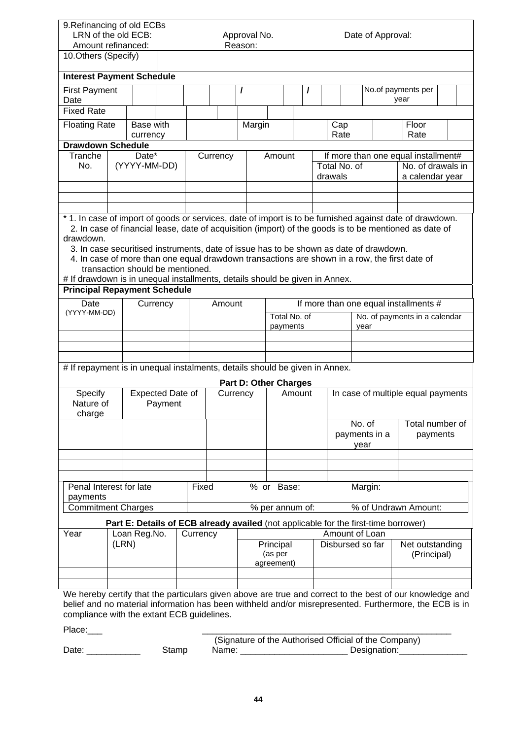| 9. Refinancing of old ECBs<br>LRN of the old ECB:<br>Approval No.<br>Date of Approval:<br>Reason:<br>Amount refinanced:                                                                                                                                                                                                                                                                                                                |                       |                                  |          |          |        |                              |                                    |                          |   |  |                                                                                |                                                                                     |                                                                                                        |  |  |
|----------------------------------------------------------------------------------------------------------------------------------------------------------------------------------------------------------------------------------------------------------------------------------------------------------------------------------------------------------------------------------------------------------------------------------------|-----------------------|----------------------------------|----------|----------|--------|------------------------------|------------------------------------|--------------------------|---|--|--------------------------------------------------------------------------------|-------------------------------------------------------------------------------------|--------------------------------------------------------------------------------------------------------|--|--|
| 10.Others (Specify)                                                                                                                                                                                                                                                                                                                                                                                                                    |                       |                                  |          |          |        |                              |                                    |                          |   |  |                                                                                |                                                                                     |                                                                                                        |  |  |
| <b>Interest Payment Schedule</b>                                                                                                                                                                                                                                                                                                                                                                                                       |                       |                                  |          |          |        |                              |                                    |                          |   |  |                                                                                |                                                                                     |                                                                                                        |  |  |
| <b>First Payment</b><br>Date                                                                                                                                                                                                                                                                                                                                                                                                           |                       |                                  |          |          |        | I                            |                                    |                          | I |  |                                                                                |                                                                                     | No.of payments per<br>year                                                                             |  |  |
| <b>Fixed Rate</b>                                                                                                                                                                                                                                                                                                                                                                                                                      |                       |                                  |          |          |        |                              |                                    |                          |   |  |                                                                                |                                                                                     |                                                                                                        |  |  |
| <b>Floating Rate</b>                                                                                                                                                                                                                                                                                                                                                                                                                   |                       | Base with<br>currency            |          |          |        | Margin                       |                                    |                          |   |  | Cap<br>Rate                                                                    |                                                                                     | Floor<br>Rate                                                                                          |  |  |
| <b>Drawdown Schedule</b>                                                                                                                                                                                                                                                                                                                                                                                                               |                       |                                  |          |          |        |                              |                                    |                          |   |  |                                                                                |                                                                                     |                                                                                                        |  |  |
| Tranche<br>No.                                                                                                                                                                                                                                                                                                                                                                                                                         | Date*<br>(YYYY-MM-DD) |                                  | Currency | Amount   |        |                              | Total No. of<br>drawals            |                          |   |  | If more than one equal installment#<br>No. of drawals in<br>a calendar year    |                                                                                     |                                                                                                        |  |  |
|                                                                                                                                                                                                                                                                                                                                                                                                                                        |                       |                                  |          |          |        |                              |                                    |                          |   |  |                                                                                |                                                                                     |                                                                                                        |  |  |
| * 1. In case of import of goods or services, date of import is to be furnished against date of drawdown.<br>drawdown.<br>3. In case securitised instruments, date of issue has to be shown as date of drawdown.<br>4. In case of more than one equal drawdown transactions are shown in a row, the first date of<br># If drawdown is in unequal installments, details should be given in Annex.<br><b>Principal Repayment Schedule</b> |                       | transaction should be mentioned. |          |          |        |                              |                                    |                          |   |  |                                                                                |                                                                                     | 2. In case of financial lease, date of acquisition (import) of the goods is to be mentioned as date of |  |  |
| Date                                                                                                                                                                                                                                                                                                                                                                                                                                   |                       |                                  |          |          | Amount |                              |                                    |                          |   |  |                                                                                |                                                                                     |                                                                                                        |  |  |
| (YYYY-MM-DD)                                                                                                                                                                                                                                                                                                                                                                                                                           |                       | Currency                         |          |          |        |                              |                                    | Total No. of<br>payments |   |  | If more than one equal installments #<br>No. of payments in a calendar<br>year |                                                                                     |                                                                                                        |  |  |
|                                                                                                                                                                                                                                                                                                                                                                                                                                        |                       |                                  |          |          |        |                              |                                    |                          |   |  |                                                                                |                                                                                     |                                                                                                        |  |  |
|                                                                                                                                                                                                                                                                                                                                                                                                                                        |                       |                                  |          |          |        |                              |                                    |                          |   |  |                                                                                |                                                                                     |                                                                                                        |  |  |
| # If repayment is in unequal instalments, details should be given in Annex.                                                                                                                                                                                                                                                                                                                                                            |                       |                                  |          |          |        |                              |                                    |                          |   |  |                                                                                |                                                                                     |                                                                                                        |  |  |
|                                                                                                                                                                                                                                                                                                                                                                                                                                        |                       |                                  |          |          |        | <b>Part D: Other Charges</b> |                                    | Amount                   |   |  |                                                                                |                                                                                     |                                                                                                        |  |  |
| Specify<br>Nature of<br>charge                                                                                                                                                                                                                                                                                                                                                                                                         |                       | Expected Date of                 | Payment  |          |        | Currency                     |                                    |                          |   |  |                                                                                |                                                                                     | In case of multiple equal payments                                                                     |  |  |
|                                                                                                                                                                                                                                                                                                                                                                                                                                        |                       |                                  |          |          |        |                              |                                    |                          |   |  |                                                                                | No. of<br>payments in a<br>year                                                     | Total number of<br>payments                                                                            |  |  |
|                                                                                                                                                                                                                                                                                                                                                                                                                                        |                       |                                  |          |          |        |                              |                                    |                          |   |  |                                                                                |                                                                                     |                                                                                                        |  |  |
| Penal Interest for late                                                                                                                                                                                                                                                                                                                                                                                                                |                       |                                  |          | Fixed    |        |                              | % or Base:                         |                          |   |  |                                                                                | Margin:                                                                             |                                                                                                        |  |  |
| payments                                                                                                                                                                                                                                                                                                                                                                                                                               |                       |                                  |          |          |        |                              |                                    |                          |   |  |                                                                                |                                                                                     |                                                                                                        |  |  |
| <b>Commitment Charges</b>                                                                                                                                                                                                                                                                                                                                                                                                              |                       |                                  |          |          |        |                              | % per annum of:                    |                          |   |  |                                                                                |                                                                                     | % of Undrawn Amount:                                                                                   |  |  |
|                                                                                                                                                                                                                                                                                                                                                                                                                                        |                       |                                  |          |          |        |                              |                                    |                          |   |  |                                                                                | Part E: Details of ECB already availed (not applicable for the first-time borrower) |                                                                                                        |  |  |
| Year                                                                                                                                                                                                                                                                                                                                                                                                                                   | (LRN)                 | Loan Reg.No.                     |          | Currency |        |                              | Principal<br>(as per<br>agreement) |                          |   |  |                                                                                | Amount of Loan<br>Disbursed so far                                                  | Net outstanding<br>(Principal)                                                                         |  |  |
| We hereby certify that the particulars given above are true and correct to the best of our knowledge and                                                                                                                                                                                                                                                                                                                               |                       |                                  |          |          |        |                              |                                    |                          |   |  |                                                                                |                                                                                     |                                                                                                        |  |  |

We hereby certify that the particulars given above are true and correct to the best of our knowledge and belief and no material information has been withheld and/or misrepresented. Furthermore, the ECB is in compliance with the extant ECB guidelines.

Place:\_\_\_ \_\_\_\_\_\_\_\_\_\_\_\_\_\_\_\_\_\_\_\_\_\_\_\_\_\_\_\_\_\_\_\_\_\_\_\_\_\_\_\_\_\_\_\_\_\_\_\_\_\_\_

 (Signature of the Authorised Official of the Company) Date: \_\_\_\_\_\_\_\_\_\_\_\_\_\_ Stamp Name: \_\_\_\_\_\_\_\_\_\_\_\_\_\_\_\_\_\_\_\_\_\_\_\_\_\_\_\_Designation:\_\_\_\_\_\_\_\_\_\_\_\_\_\_\_\_\_\_\_\_\_\_\_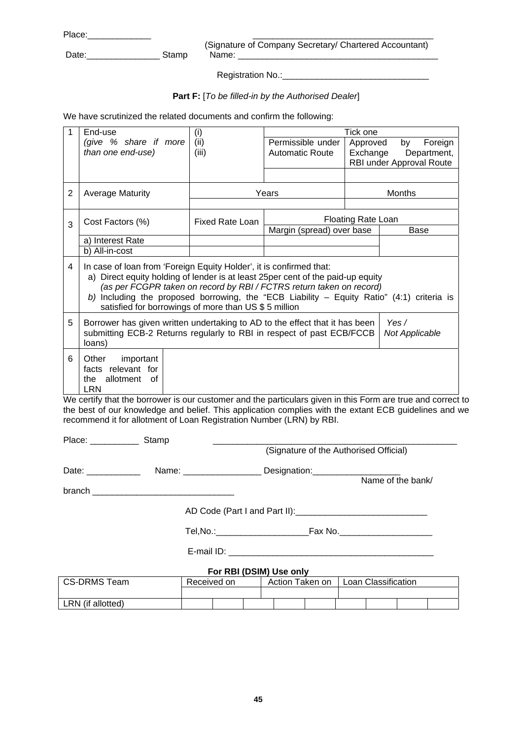Place:

 (Signature of Company Secretary/ Chartered Accountant) Date:\_\_\_\_\_\_\_\_\_\_\_\_\_\_\_ Stamp Name: \_\_\_\_\_\_\_\_\_\_\_\_\_\_\_\_\_\_\_\_\_\_\_\_\_\_\_\_\_\_\_\_\_\_\_\_\_\_\_\_\_

Registration No.: Contains and Registration No.:

## **Part F:** [*To be filled-in by the Authorised Dealer*]

We have scrutinized the related documents and confirm the following:

| 1 | End-use                                                                                                                                                                                                                                                                                                                                                                                | (i)                    | Tick one                  |          |                          |  |  |  |
|---|----------------------------------------------------------------------------------------------------------------------------------------------------------------------------------------------------------------------------------------------------------------------------------------------------------------------------------------------------------------------------------------|------------------------|---------------------------|----------|--------------------------|--|--|--|
|   | (give % share if more                                                                                                                                                                                                                                                                                                                                                                  | (ii)                   | Permissible under         | Approved | by<br>Foreign            |  |  |  |
|   | than one end-use)                                                                                                                                                                                                                                                                                                                                                                      | (iii)                  | <b>Automatic Route</b>    | Exchange | Department,              |  |  |  |
|   |                                                                                                                                                                                                                                                                                                                                                                                        |                        |                           |          | RBI under Approval Route |  |  |  |
|   |                                                                                                                                                                                                                                                                                                                                                                                        |                        |                           |          |                          |  |  |  |
| 2 | <b>Average Maturity</b>                                                                                                                                                                                                                                                                                                                                                                |                        | Years<br><b>Months</b>    |          |                          |  |  |  |
|   |                                                                                                                                                                                                                                                                                                                                                                                        |                        |                           |          |                          |  |  |  |
| 3 | Cost Factors (%)                                                                                                                                                                                                                                                                                                                                                                       | <b>Fixed Rate Loan</b> | <b>Floating Rate Loan</b> |          |                          |  |  |  |
|   |                                                                                                                                                                                                                                                                                                                                                                                        |                        | Margin (spread) over base |          | Base                     |  |  |  |
|   | a) Interest Rate                                                                                                                                                                                                                                                                                                                                                                       |                        |                           |          |                          |  |  |  |
|   | b) All-in-cost                                                                                                                                                                                                                                                                                                                                                                         |                        |                           |          |                          |  |  |  |
| 4 | In case of loan from 'Foreign Equity Holder', it is confirmed that:<br>a) Direct equity holding of lender is at least 25per cent of the paid-up equity<br>(as per FCGPR taken on record by RBI / FCTRS return taken on record)<br>b) Including the proposed borrowing, the "ECB Liability – Equity Ratio" $(4:1)$ criteria is<br>satisfied for borrowings of more than US \$ 5 million |                        |                           |          |                          |  |  |  |
| 5 | Yes $/$<br>Borrower has given written undertaking to AD to the effect that it has been<br>submitting ECB-2 Returns regularly to RBI in respect of past ECB/FCCB<br>Not Applicable<br>loans)                                                                                                                                                                                            |                        |                           |          |                          |  |  |  |
| 6 | important<br>Other<br>facts relevant for<br>the allotment<br>of<br><b>LRN</b>                                                                                                                                                                                                                                                                                                          |                        |                           |          |                          |  |  |  |

We certify that the borrower is our customer and the particulars given in this Form are true and correct to the best of our knowledge and belief. This application complies with the extant ECB guidelines and we recommend it for allotment of Loan Registration Number (LRN) by RBI.

| Place: _______________ Stamp |  |                                        |                                                 |
|------------------------------|--|----------------------------------------|-------------------------------------------------|
|                              |  | (Signature of the Authorised Official) |                                                 |
| Date: ____________           |  |                                        |                                                 |
|                              |  |                                        | Name of the bank/                               |
|                              |  |                                        |                                                 |
|                              |  |                                        |                                                 |
|                              |  |                                        |                                                 |
|                              |  | For RBI (DSIM) Use only                |                                                 |
| $CC$ DDMC $T_{com}$          |  |                                        | Becoused on Action Token on Leon Closeification |

| CS-DRMS Team      | Received on |  | Action Taken on | Loan Classification |  |  |  |
|-------------------|-------------|--|-----------------|---------------------|--|--|--|
|                   |             |  |                 |                     |  |  |  |
| LRN (if allotted) |             |  |                 |                     |  |  |  |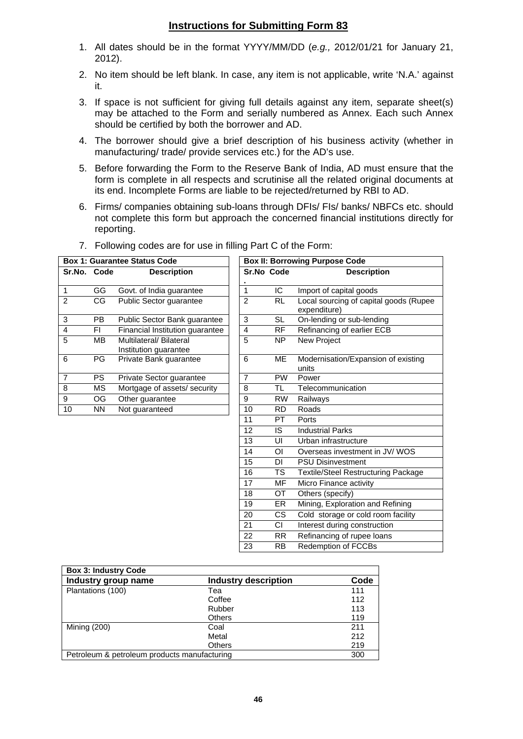## **Instructions for Submitting Form 83**

- 1. All dates should be in the format YYYY/MM/DD (*e.g.,* 2012/01/21 for January 21, 2012).
- 2. No item should be left blank. In case, any item is not applicable, write 'N.A.' against it.
- 3. If space is not sufficient for giving full details against any item, separate sheet(s) may be attached to the Form and serially numbered as Annex. Each such Annex should be certified by both the borrower and AD.
- 4. The borrower should give a brief description of his business activity (whether in manufacturing/ trade/ provide services etc.) for the AD's use.
- 5. Before forwarding the Form to the Reserve Bank of India, AD must ensure that the form is complete in all respects and scrutinise all the related original documents at its end. Incomplete Forms are liable to be rejected/returned by RBI to AD.
- 6. Firms/ companies obtaining sub-loans through DFIs/ FIs/ banks/ NBFCs etc. should not complete this form but approach the concerned financial institutions directly for reporting.

|                |                        | <b>Box 1: Guarantee Status Code</b>              |                |                | <b>Box II: Borrowing Purpose Code</b>                  |
|----------------|------------------------|--------------------------------------------------|----------------|----------------|--------------------------------------------------------|
| Sr.No. Code    |                        | <b>Description</b>                               | Sr.No Code     |                | <b>Description</b>                                     |
|                |                        |                                                  |                |                |                                                        |
| $\overline{1}$ | GG                     | Govt. of India guarantee                         | $\mathbf{1}$   | IC             | Import of capital goods                                |
| $\overline{2}$ | $\overline{\text{CG}}$ | Public Sector guarantee                          | $\overline{2}$ | <b>RL</b>      | Local sourcing of capital goods (Rupee<br>expenditure) |
| $\overline{3}$ | <b>PB</b>              | Public Sector Bank guarantee                     | 3              | <b>SL</b>      | On-lending or sub-lending                              |
| $\overline{4}$ | FI.                    | Financial Institution guarantee                  | 4              | <b>RF</b>      | Refinancing of earlier ECB                             |
| $\overline{5}$ | <b>MB</b>              | Multilateral/ Bilateral<br>Institution guarantee | 5              | NP.            | New Project                                            |
| 6              | <b>PG</b>              | Private Bank guarantee                           | 6              | <b>ME</b>      | Modernisation/Expansion of existing<br>units           |
| $\overline{7}$ | <b>PS</b>              | Private Sector guarantee                         | $\overline{7}$ | <b>PW</b>      | Power                                                  |
| $\bf 8$        | <b>MS</b>              | Mortgage of assets/ security                     | 8              | TL             | Telecommunication                                      |
| 9              | OG                     | Other guarantee                                  | 9              | <b>RW</b>      | Railways                                               |
| 10             | <b>NN</b>              | Not guaranteed                                   | 10             | RD.            | Roads                                                  |
|                |                        |                                                  | 11             | <b>PT</b>      | Ports                                                  |
|                |                        |                                                  | 12             | IS.            | <b>Industrial Parks</b>                                |
|                |                        |                                                  | 13             | UI             | Urban infrastructure                                   |
|                |                        |                                                  | 14             | $\overline{O}$ | Overseas investment in JV/WOS                          |
|                |                        |                                                  | 15             | DI.            | <b>PSU Disinvestment</b>                               |
|                |                        |                                                  | 16             | TS             | <b>Textile/Steel Restructuring Package</b>             |
|                |                        |                                                  | 17             | <b>MF</b>      | Micro Finance activity                                 |
|                |                        |                                                  | 18             | <b>OT</b>      | Others (specify)                                       |
|                |                        |                                                  | 19             | ER.            | Mining, Exploration and Refining                       |
|                |                        |                                                  | 20             | CS.            | Cold storage or cold room facility                     |
|                |                        |                                                  | 21             | CI             | Interest during construction                           |
|                |                        |                                                  | 22             | RR.            | Refinancing of rupee loans                             |
|                |                        |                                                  | 23             | <b>RB</b>      | <b>Redemption of FCCBs</b>                             |

7. Following codes are for use in filling Part C of the Form:

| <b>Box 3: Industry Code</b>                  |                      |      |
|----------------------------------------------|----------------------|------|
| Industry group name                          | Industry description | Code |
| Plantations (100)                            | Tea                  | 111  |
|                                              | Coffee               | 112  |
|                                              | Rubber               | 113  |
|                                              | <b>Others</b>        | 119  |
| Mining (200)                                 | Coal                 | 211  |
|                                              | Metal                | 212  |
|                                              | <b>Others</b>        | 219  |
| Petroleum & petroleum products manufacturing | 300                  |      |